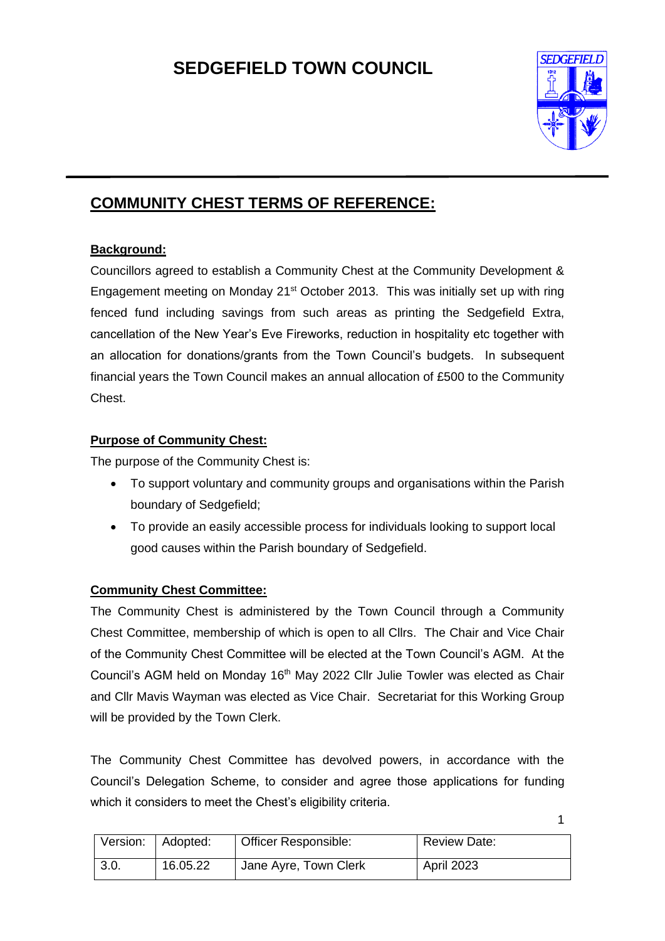# **SEDGEFIELD TOWN COUNCIL**



# **COMMUNITY CHEST TERMS OF REFERENCE:**

# **Background:**

Councillors agreed to establish a Community Chest at the Community Development & Engagement meeting on Monday 21<sup>st</sup> October 2013. This was initially set up with ring fenced fund including savings from such areas as printing the Sedgefield Extra, cancellation of the New Year's Eve Fireworks, reduction in hospitality etc together with an allocation for donations/grants from the Town Council's budgets. In subsequent financial years the Town Council makes an annual allocation of £500 to the Community Chest.

# **Purpose of Community Chest:**

The purpose of the Community Chest is:

- To support voluntary and community groups and organisations within the Parish boundary of Sedgefield;
- To provide an easily accessible process for individuals looking to support local good causes within the Parish boundary of Sedgefield.

# **Community Chest Committee:**

The Community Chest is administered by the Town Council through a Community Chest Committee, membership of which is open to all Cllrs. The Chair and Vice Chair of the Community Chest Committee will be elected at the Town Council's AGM. At the Council's AGM held on Monday 16<sup>th</sup> May 2022 Cllr Julie Towler was elected as Chair and Cllr Mavis Wayman was elected as Vice Chair. Secretariat for this Working Group will be provided by the Town Clerk.

The Community Chest Committee has devolved powers, in accordance with the Council's Delegation Scheme, to consider and agree those applications for funding which it considers to meet the Chest's eligibility criteria.

| Version:   Adopted: |          | Officer Responsible:    | <b>Review Date:</b> |
|---------------------|----------|-------------------------|---------------------|
| 3.0.                | 16.05.22 | I Jane Ayre, Town Clerk | April 2023          |

1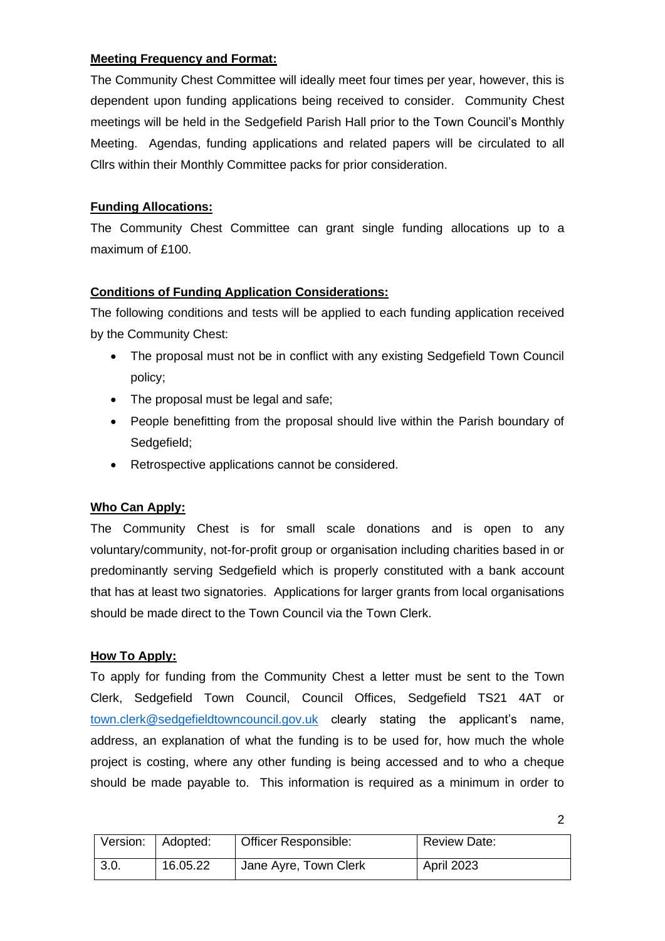#### **Meeting Frequency and Format:**

The Community Chest Committee will ideally meet four times per year, however, this is dependent upon funding applications being received to consider. Community Chest meetings will be held in the Sedgefield Parish Hall prior to the Town Council's Monthly Meeting. Agendas, funding applications and related papers will be circulated to all Cllrs within their Monthly Committee packs for prior consideration.

# **Funding Allocations:**

The Community Chest Committee can grant single funding allocations up to a maximum of £100.

# **Conditions of Funding Application Considerations:**

The following conditions and tests will be applied to each funding application received by the Community Chest:

- The proposal must not be in conflict with any existing Sedgefield Town Council policy;
- The proposal must be legal and safe;
- People benefitting from the proposal should live within the Parish boundary of Sedgefield;
- Retrospective applications cannot be considered.

# **Who Can Apply:**

The Community Chest is for small scale donations and is open to any voluntary/community, not-for-profit group or organisation including charities based in or predominantly serving Sedgefield which is properly constituted with a bank account that has at least two signatories. Applications for larger grants from local organisations should be made direct to the Town Council via the Town Clerk.

#### **How To Apply:**

To apply for funding from the Community Chest a letter must be sent to the Town Clerk, Sedgefield Town Council, Council Offices, Sedgefield TS21 4AT or [town.clerk@sedgefieldtowncouncil.gov.uk](mailto:town.clerk@sedgefieldtowncouncil.gov.uk) clearly stating the applicant's name, address, an explanation of what the funding is to be used for, how much the whole project is costing, where any other funding is being accessed and to who a cheque should be made payable to. This information is required as a minimum in order to

| Version: Adopted: |          | <b>Officer Responsible:</b> | <b>Review Date:</b> |
|-------------------|----------|-----------------------------|---------------------|
| 3.0.              | 16.05.22 | Jane Ayre, Town Clerk       | April 2023          |

2